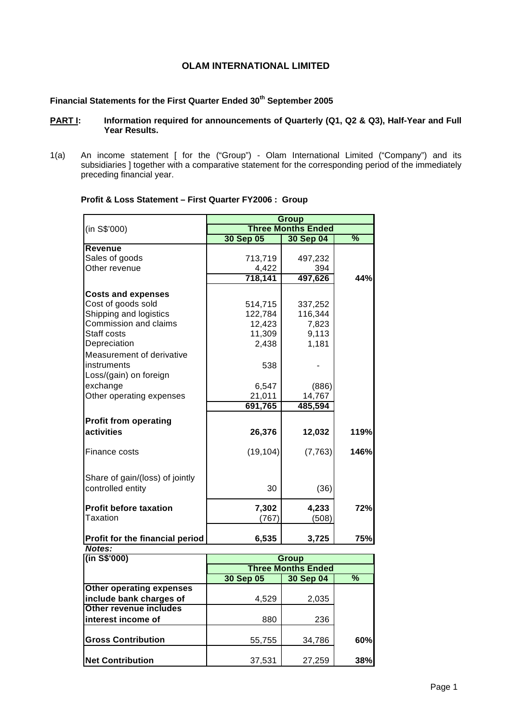# **OLAM INTERNATIONAL LIMITED**

# **Financial Statements for the First Quarter Ended 30th September 2005**

#### **PART I:** Information required for announcements of Quarterly (Q1, Q2 & Q3), Half-Year and Full **Year Results.**

1(a) An income statement [ for the ("Group") - Olam International Limited ("Company") and its subsidiaries ] together with a comparative statement for the corresponding period of the immediately preceding financial year.

|                                                 | Group     |                           |                 |  |
|-------------------------------------------------|-----------|---------------------------|-----------------|--|
| (in S\$'000)                                    |           | <b>Three Months Ended</b> |                 |  |
|                                                 | 30 Sep 05 | <b>30 Sep 04</b>          | $\overline{\%}$ |  |
| <b>Revenue</b>                                  |           |                           |                 |  |
| Sales of goods                                  | 713,719   | 497,232                   |                 |  |
| Other revenue                                   | 4,422     | 394                       |                 |  |
|                                                 | 718,141   | 497,626                   | 44%             |  |
|                                                 |           |                           |                 |  |
| <b>Costs and expenses</b><br>Cost of goods sold | 514,715   | 337,252                   |                 |  |
| Shipping and logistics                          |           | 116,344                   |                 |  |
| Commission and claims                           | 122,784   |                           |                 |  |
| Staff costs                                     | 12,423    | 7,823                     |                 |  |
|                                                 | 11,309    | 9,113                     |                 |  |
| Depreciation                                    | 2,438     | 1,181                     |                 |  |
| Measurement of derivative                       |           |                           |                 |  |
| instruments                                     | 538       |                           |                 |  |
| Loss/(gain) on foreign                          |           |                           |                 |  |
| exchange                                        | 6,547     | (886)                     |                 |  |
| Other operating expenses                        | 21,011    | 14,767                    |                 |  |
|                                                 | 691,765   | 485,594                   |                 |  |
| <b>Profit from operating</b>                    |           |                           |                 |  |
| activities                                      | 26,376    | 12,032                    | 119%            |  |
|                                                 |           |                           |                 |  |
| Finance costs                                   | (19, 104) | (7, 763)                  | 146%            |  |
|                                                 |           |                           |                 |  |
| Share of gain/(loss) of jointly                 |           |                           |                 |  |
| controlled entity                               | 30        | (36)                      |                 |  |
|                                                 |           |                           |                 |  |
| <b>Profit before taxation</b>                   | 7,302     | 4,233                     | 72%             |  |
| <b>Taxation</b>                                 | (767)     | (508)                     |                 |  |
|                                                 |           |                           |                 |  |
| Profit for the financial period                 | 6,535     | 3,725                     | 75%             |  |
| Notes:                                          |           |                           |                 |  |
| (in S\$'000)                                    | Group     |                           |                 |  |
|                                                 |           | <b>Three Months Ended</b> |                 |  |
|                                                 | 30 Sep 05 | 30 Sep 04                 | $\overline{\%}$ |  |
| <b>Other operating expenses</b>                 |           |                           |                 |  |
| include bank charges of                         | 4,529     | 2,035                     |                 |  |
| Other revenue includes                          |           |                           |                 |  |

**interest income of**  880 236

**Gross Contribution** 55,755 34,786 **60%**

**Net Contribution 188% 37,531 188% 38%** 

#### **Profit & Loss Statement – First Quarter FY2006 : Group**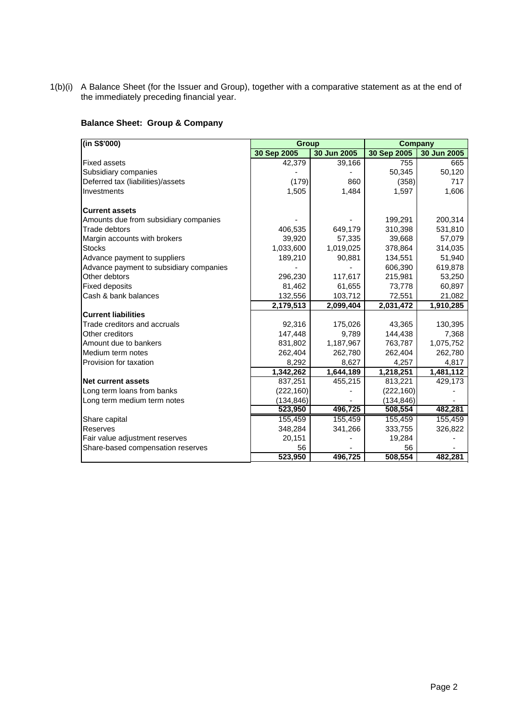1(b)(i) A Balance Sheet (for the Issuer and Group), together with a comparative statement as at the end of the immediately preceding financial year.

# **Balance Sheet: Group & Company**

| (in S\$'000)                            | <b>Group</b> |             | <b>Company</b> |             |
|-----------------------------------------|--------------|-------------|----------------|-------------|
|                                         | 30 Sep 2005  | 30 Jun 2005 | 30 Sep 2005    | 30 Jun 2005 |
| <b>Fixed assets</b>                     | 42.379       | 39,166      | 755            | 665         |
| Subsidiary companies                    |              |             | 50,345         | 50,120      |
| Deferred tax (liabilities)/assets       | (179)        | 860         | (358)          | 717         |
| Investments                             | 1,505        | 1,484       | 1,597          | 1,606       |
| <b>Current assets</b>                   |              |             |                |             |
| Amounts due from subsidiary companies   |              |             | 199,291        | 200,314     |
| Trade debtors                           | 406,535      | 649,179     | 310,398        | 531,810     |
| Margin accounts with brokers            | 39,920       | 57,335      | 39,668         | 57,079      |
| <b>Stocks</b>                           | 1,033,600    | 1,019,025   | 378,864        | 314,035     |
| Advance payment to suppliers            | 189,210      | 90,881      | 134,551        | 51,940      |
| Advance payment to subsidiary companies |              |             | 606,390        | 619,878     |
| Other debtors                           | 296,230      | 117,617     | 215,981        | 53,250      |
| <b>Fixed deposits</b>                   | 81,462       | 61,655      | 73,778         | 60,897      |
| Cash & bank balances                    | 132,556      | 103,712     | 72,551         | 21,082      |
|                                         | 2,179,513    | 2,099,404   | 2,031,472      | 1,910,285   |
| <b>Current liabilities</b>              |              |             |                |             |
| Trade creditors and accruals            | 92,316       | 175,026     | 43,365         | 130,395     |
| Other creditors                         | 147,448      | 9,789       | 144,438        | 7,368       |
| Amount due to bankers                   | 831,802      | 1,187,967   | 763,787        | 1,075,752   |
| Medium term notes                       | 262,404      | 262,780     | 262,404        | 262,780     |
| Provision for taxation                  | 8,292        | 8,627       | 4,257          | 4,817       |
|                                         | 1,342,262    | 1,644,189   | 1,218,251      | 1,481,112   |
| <b>Net current assets</b>               | 837,251      | 455,215     | 813,221        | 429,173     |
| Long term loans from banks              | (222, 160)   |             | (222, 160)     |             |
| Long term medium term notes             | (134, 846)   |             | (134, 846)     |             |
|                                         | 523,950      | 496,725     | 508,554        | 482,281     |
| Share capital                           | 155,459      | 155,459     | 155,459        | 155,459     |
| Reserves                                | 348,284      | 341,266     | 333,755        | 326,822     |
| Fair value adjustment reserves          | 20,151       |             | 19,284         |             |
| Share-based compensation reserves       | 56           |             | 56             |             |
|                                         | 523,950      | 496.725     | 508,554        | 482.281     |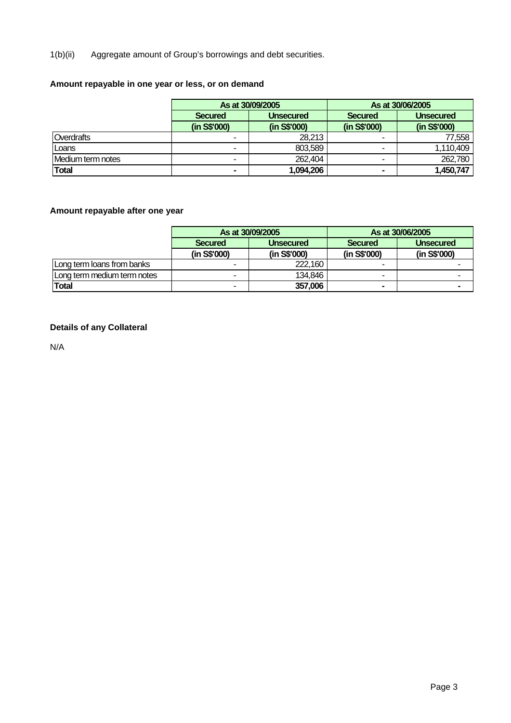1(b)(ii) Aggregate amount of Group's borrowings and debt securities.

# **Amount repayable in one year or less, or on demand**

|                   |                | As at 30/09/2005 |              | As at 30/06/2005 |  |
|-------------------|----------------|------------------|--------------|------------------|--|
|                   | <b>Secured</b> | <b>Unsecured</b> |              | <b>Unsecured</b> |  |
|                   | (in S\$'000)   | (in S\$'000)     | (in S\$'000) | (in S\$'000)     |  |
| Overdrafts        | ۰              | 28,213           |              | 77,558           |  |
| Loans             | ۰              | 803,589          |              | 1,110,409        |  |
| Medium term notes | ۰              | 262,404          | -            | 262,780          |  |
| <b>Total</b>      | $\blacksquare$ | 1,094,206        | $\sim$       | 1,450,747        |  |

# **Amount repayable after one year**

|                             |                                    | As at 30/09/2005 |                | As at 30/06/2005 |
|-----------------------------|------------------------------------|------------------|----------------|------------------|
|                             | <b>Secured</b><br><b>Unsecured</b> |                  | <b>Secured</b> | <b>Unsecured</b> |
|                             | (in S\$'000)                       | (in S\$'000)     | (in S\$'000)   | (in S\$'000)     |
| Long term loans from banks  |                                    | 222,160          |                |                  |
| Long term medium term notes | $\overline{\phantom{a}}$           | 134,846          |                |                  |
| <b>Total</b>                |                                    | 357,006          |                |                  |

# **Details of any Collateral**

N/A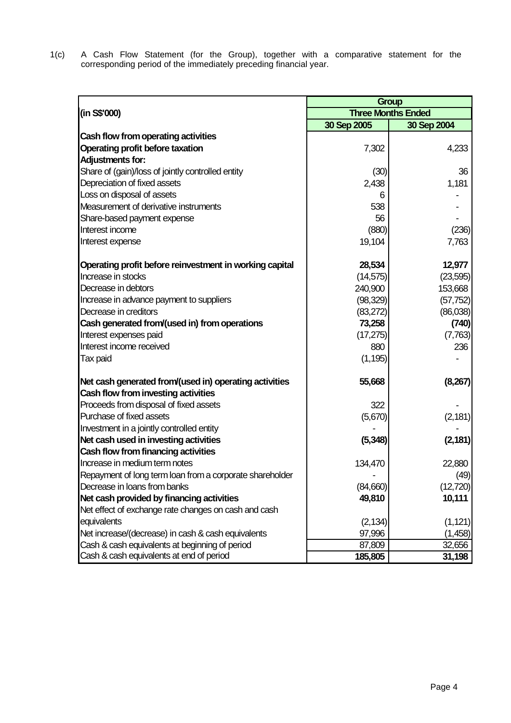1(c) A Cash Flow Statement (for the Group), together with a comparative statement for the corresponding period of the immediately preceding financial year.

|                                                          |             | <b>Group</b>              |
|----------------------------------------------------------|-------------|---------------------------|
| (in S\$'000)                                             |             | <b>Three Months Ended</b> |
|                                                          | 30 Sep 2005 | 30 Sep 2004               |
| Cash flow from operating activities                      |             |                           |
| <b>Operating profit before taxation</b>                  | 7,302       | 4,233                     |
| <b>Adjustments for:</b>                                  |             |                           |
| Share of (gain)/loss of jointly controlled entity        | (30)        | 36                        |
| Depreciation of fixed assets                             | 2,438       | 1,181                     |
| Loss on disposal of assets                               | 6           |                           |
| Measurement of derivative instruments                    | 538         |                           |
| Share-based payment expense                              | 56          |                           |
| Interest income                                          | (880)       | (236)                     |
| Interest expense                                         | 19,104      | 7,763                     |
| Operating profit before reinvestment in working capital  | 28,534      | 12,977                    |
| Increase in stocks                                       | (14, 575)   | (23, 595)                 |
| Decrease in debtors                                      | 240,900     | 153,668                   |
| Increase in advance payment to suppliers                 | (98, 329)   | (57, 752)                 |
| Decrease in creditors                                    | (83, 272)   | (86,038)                  |
| Cash generated from/(used in) from operations            | 73,258      | (740)                     |
| Interest expenses paid                                   | (17, 275)   | (7,763)                   |
| Interest income received                                 | 880         | 236                       |
| Tax paid                                                 | (1, 195)    |                           |
| Net cash generated from/(used in) operating activities   | 55,668      | (8, 267)                  |
| Cash flow from investing activities                      |             |                           |
| Proceeds from disposal of fixed assets                   | 322         |                           |
| Purchase of fixed assets                                 | (5,670)     | (2, 181)                  |
| Investment in a jointly controlled entity                |             |                           |
| Net cash used in investing activities                    | (5, 348)    | (2, 181)                  |
| Cash flow from financing activities                      |             |                           |
| Increase in medium term notes                            | 134,470     | 22,880                    |
| Repayment of long term loan from a corporate shareholder |             | (49)                      |
| Decrease in loans from banks                             | (84,660)    | (12, 720)                 |
| Net cash provided by financing activities                | 49,810      | 10,111                    |
| Net effect of exchange rate changes on cash and cash     |             |                           |
| equivalents                                              | (2, 134)    | (1, 121)                  |
| Net increase/(decrease) in cash & cash equivalents       | 97,996      | (1,458)                   |
| Cash & cash equivalents at beginning of period           | 87,809      | 32,656                    |
| Cash & cash equivalents at end of period                 | 185,805     | 31,198                    |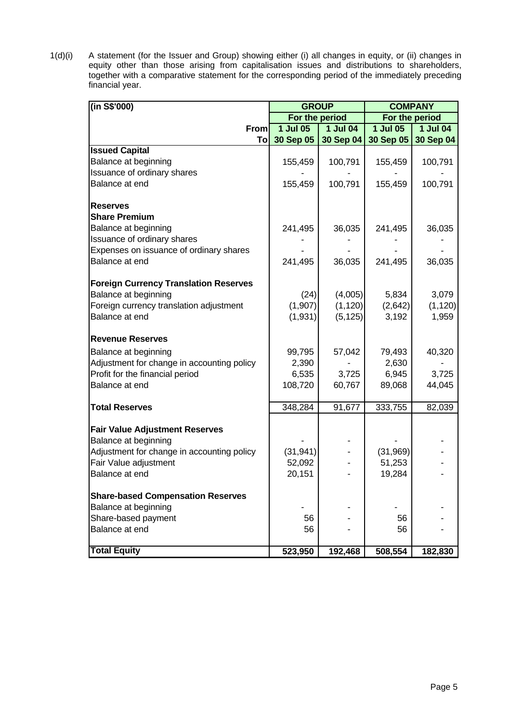1(d)(i) A statement (for the Issuer and Group) showing either (i) all changes in equity, or (ii) changes in equity other than those arising from capitalisation issues and distributions to shareholders, together with a comparative statement for the corresponding period of the immediately preceding financial year.

| (in S\$'000)                                 | <b>GROUP</b>   |                       |            | <b>COMPANY</b>  |
|----------------------------------------------|----------------|-----------------------|------------|-----------------|
|                                              | For the period |                       |            | For the period  |
| From                                         | $1$ Jul 05     | $\overline{1}$ Jul 04 | $1$ Jul 05 | <b>1 Jul 04</b> |
| Tol                                          | 30 Sep 05      | 30 Sep 04             | 30 Sep 05  | 30 Sep 04       |
| <b>Issued Capital</b>                        |                |                       |            |                 |
| Balance at beginning                         | 155,459        | 100,791               | 155,459    | 100,791         |
| Issuance of ordinary shares                  |                |                       |            |                 |
| Balance at end                               | 155,459        | 100,791               | 155,459    | 100,791         |
| <b>Reserves</b>                              |                |                       |            |                 |
| <b>Share Premium</b>                         |                |                       |            |                 |
| Balance at beginning                         | 241,495        | 36,035                | 241,495    | 36,035          |
| Issuance of ordinary shares                  |                |                       |            |                 |
| Expenses on issuance of ordinary shares      |                |                       |            |                 |
| Balance at end                               | 241,495        | 36,035                | 241,495    | 36,035          |
| <b>Foreign Currency Translation Reserves</b> |                |                       |            |                 |
| Balance at beginning                         | (24)           | (4,005)               | 5,834      | 3,079           |
| Foreign currency translation adjustment      | (1,907)        | (1, 120)              | (2,642)    | (1, 120)        |
| Balance at end                               | (1,931)        | (5, 125)              | 3,192      | 1,959           |
| <b>Revenue Reserves</b>                      |                |                       |            |                 |
| Balance at beginning                         | 99,795         | 57,042                | 79,493     | 40,320          |
| Adjustment for change in accounting policy   | 2,390          |                       | 2,630      |                 |
| Profit for the financial period              | 6,535          | 3,725                 | 6,945      | 3,725           |
| Balance at end                               | 108,720        | 60,767                | 89,068     | 44,045          |
| <b>Total Reserves</b>                        | 348,284        | 91,677                | 333,755    | 82,039          |
| <b>Fair Value Adjustment Reserves</b>        |                |                       |            |                 |
| Balance at beginning                         |                |                       |            |                 |
| Adjustment for change in accounting policy   | (31, 941)      |                       | (31, 969)  |                 |
| Fair Value adjustment                        | 52,092         |                       | 51,253     |                 |
| Balance at end                               | 20,151         |                       | 19,284     |                 |
| <b>Share-based Compensation Reserves</b>     |                |                       |            |                 |
| Balance at beginning                         |                |                       |            |                 |
| Share-based payment                          | 56             |                       | 56         |                 |
| Balance at end                               | 56             |                       | 56         |                 |
| <b>Total Equity</b>                          | 523,950        | 192,468               | 508,554    | 182,830         |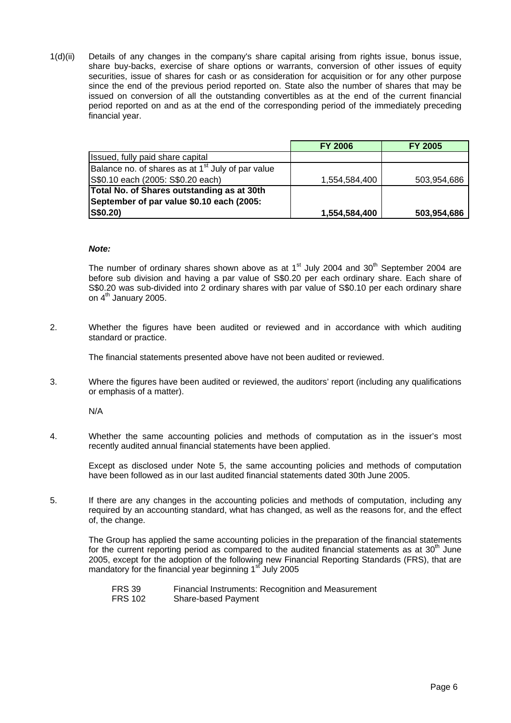1(d)(ii) Details of any changes in the company's share capital arising from rights issue, bonus issue, share buy-backs, exercise of share options or warrants, conversion of other issues of equity securities, issue of shares for cash or as consideration for acquisition or for any other purpose since the end of the previous period reported on. State also the number of shares that may be issued on conversion of all the outstanding convertibles as at the end of the current financial period reported on and as at the end of the corresponding period of the immediately preceding financial year.

|                                                               | <b>FY 2006</b> | <b>FY 2005</b> |
|---------------------------------------------------------------|----------------|----------------|
| Issued, fully paid share capital                              |                |                |
| Balance no. of shares as at 1 <sup>st</sup> July of par value |                |                |
| S\$0.10 each (2005: S\$0.20 each)                             | 1,554,584,400  | 503,954,686    |
| Total No. of Shares outstanding as at 30th                    |                |                |
| September of par value \$0.10 each (2005:                     |                |                |
| S\$0.20)                                                      | 1,554,584,400  | 503,954,686    |

#### *Note:*

The number of ordinary shares shown above as at  $1<sup>st</sup>$  July 2004 and 30<sup>th</sup> September 2004 are before sub division and having a par value of S\$0.20 per each ordinary share. Each share of S\$0.20 was sub-divided into 2 ordinary shares with par value of S\$0.10 per each ordinary share on 4<sup>th</sup> January 2005.

2. Whether the figures have been audited or reviewed and in accordance with which auditing standard or practice.

The financial statements presented above have not been audited or reviewed.

3. Where the figures have been audited or reviewed, the auditors' report (including any qualifications or emphasis of a matter).

N/A

4. Whether the same accounting policies and methods of computation as in the issuer's most recently audited annual financial statements have been applied.

 Except as disclosed under Note 5, the same accounting policies and methods of computation have been followed as in our last audited financial statements dated 30th June 2005.

5. If there are any changes in the accounting policies and methods of computation, including any required by an accounting standard, what has changed, as well as the reasons for, and the effect of, the change.

 The Group has applied the same accounting policies in the preparation of the financial statements for the current reporting period as compared to the audited financial statements as at  $30<sup>th</sup>$  June 2005, except for the adoption of the following new Financial Reporting Standards (FRS), that are mandatory for the financial year beginning  $1<sup>st</sup>$  July 2005

FRS 39 Financial Instruments: Recognition and Measurement<br>FRS 102 Share-based Payment Share-based Payment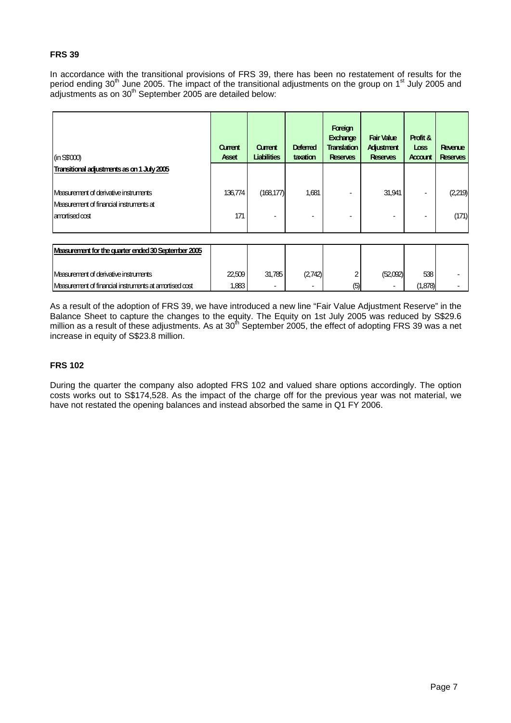## **FRS 39**

In accordance with the transitional provisions of FRS 39, there has been no restatement of results for the period ending 30<sup>th</sup> June 2005. The impact of the transitional adjustments on the group on 1<sup>st</sup> July 2005 and adjustments as on 30<sup>th</sup> September 2005 are detailed below:

| (in S\$000)                                                                             | Current<br><b>Asset</b> | Current<br><b>Liabilities</b> | <b>Deferred</b><br>taxation | Foreign<br>Exchange<br><b>Translation</b><br><b>Reserves</b> | <b>Fair Value</b><br>Adjustment<br><b>Reserves</b> | Profit &<br>Loss<br>Account | Revenue<br><b>Reserves</b> |
|-----------------------------------------------------------------------------------------|-------------------------|-------------------------------|-----------------------------|--------------------------------------------------------------|----------------------------------------------------|-----------------------------|----------------------------|
| Transitional adjustments as on 1 July 2005                                              |                         |                               |                             |                                                              |                                                    |                             |                            |
| <b>Neasurement of derivative instruments</b><br>Measurement of financial instruments at | 136,774                 | (168, 177)                    | 1,681                       |                                                              | 31,941                                             |                             | (2,219)                    |
| amortised cost                                                                          | 171                     |                               |                             | $\overline{\phantom{a}}$                                     | -                                                  |                             | (171)                      |

| Measurement for the quarter ended 30 September 2005    |        |        |         |     |          |      |  |
|--------------------------------------------------------|--------|--------|---------|-----|----------|------|--|
| Measurement of derivative instruments                  | 22.509 | 31.785 | (2.742) |     | (52.092) | 538  |  |
| Measurement of financial instruments at amortised cost | .883   |        |         | (5) |          | .878 |  |

As a result of the adoption of FRS 39, we have introduced a new line "Fair Value Adjustment Reserve" in the Balance Sheet to capture the changes to the equity. The Equity on 1st July 2005 was reduced by S\$29.6 million as a result of these adjustments. As at  $30<sup>th</sup>$  September 2005, the effect of adopting FRS 39 was a net increase in equity of S\$23.8 million.

# **FRS 102**

During the quarter the company also adopted FRS 102 and valued share options accordingly. The option costs works out to S\$174,528. As the impact of the charge off for the previous year was not material, we have not restated the opening balances and instead absorbed the same in Q1 FY 2006.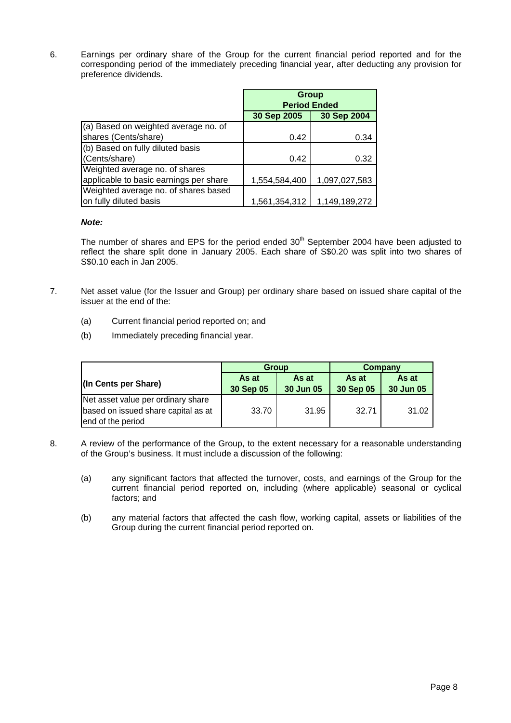6. Earnings per ordinary share of the Group for the current financial period reported and for the corresponding period of the immediately preceding financial year, after deducting any provision for preference dividends.

|                                        | <b>Group</b>        |               |
|----------------------------------------|---------------------|---------------|
|                                        | <b>Period Ended</b> |               |
|                                        | 30 Sep 2005         | 30 Sep 2004   |
| (a) Based on weighted average no. of   |                     |               |
| shares (Cents/share)                   | 0.42                | 0.34          |
| (b) Based on fully diluted basis       |                     |               |
| (Cents/share)                          | 0.42                | 0.32          |
| Weighted average no. of shares         |                     |               |
| applicable to basic earnings per share | 1,554,584,400       | 1,097,027,583 |
| Weighted average no. of shares based   |                     |               |
| on fully diluted basis                 | 1,561,354,312       | 1,149,189,272 |

#### *Note:*

The number of shares and EPS for the period ended  $30<sup>th</sup>$  September 2004 have been adjusted to reflect the share split done in January 2005. Each share of S\$0.20 was split into two shares of S\$0.10 each in Jan 2005.

- 7. Net asset value (for the Issuer and Group) per ordinary share based on issued share capital of the issuer at the end of the:
	- (a) Current financial period reported on; and
	- (b) Immediately preceding financial year.

|                                     |           | <b>Group</b> | Company   |           |  |
|-------------------------------------|-----------|--------------|-----------|-----------|--|
| (In Cents per Share)                | As at     | As at        | As at     | As at     |  |
|                                     | 30 Sep 05 | 30 Jun 05    | 30 Sep 05 | 30 Jun 05 |  |
| Net asset value per ordinary share  |           |              |           |           |  |
| based on issued share capital as at | 33.70     | 31.95        | 32.71     | 31.02     |  |
| end of the period                   |           |              |           |           |  |

- 8. A review of the performance of the Group, to the extent necessary for a reasonable understanding of the Group's business. It must include a discussion of the following:
	- (a) any significant factors that affected the turnover, costs, and earnings of the Group for the current financial period reported on, including (where applicable) seasonal or cyclical factors; and
	- (b) any material factors that affected the cash flow, working capital, assets or liabilities of the Group during the current financial period reported on.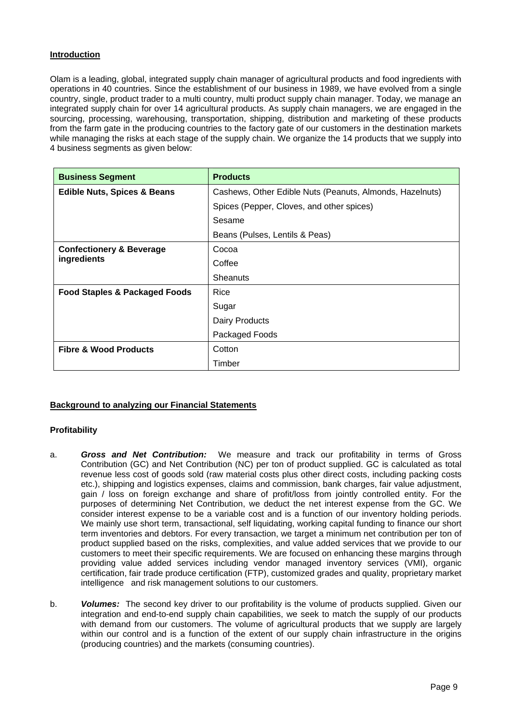# **Introduction**

Olam is a leading, global, integrated supply chain manager of agricultural products and food ingredients with operations in 40 countries. Since the establishment of our business in 1989, we have evolved from a single country, single, product trader to a multi country, multi product supply chain manager. Today, we manage an integrated supply chain for over 14 agricultural products. As supply chain managers, we are engaged in the sourcing, processing, warehousing, transportation, shipping, distribution and marketing of these products from the farm gate in the producing countries to the factory gate of our customers in the destination markets while managing the risks at each stage of the supply chain. We organize the 14 products that we supply into 4 business segments as given below:

| <b>Business Segment</b>                            | <b>Products</b>                                          |
|----------------------------------------------------|----------------------------------------------------------|
| <b>Edible Nuts, Spices &amp; Beans</b>             | Cashews, Other Edible Nuts (Peanuts, Almonds, Hazelnuts) |
|                                                    | Spices (Pepper, Cloves, and other spices)                |
|                                                    | Sesame                                                   |
|                                                    | Beans (Pulses, Lentils & Peas)                           |
| <b>Confectionery &amp; Beverage</b><br>ingredients | Cocoa                                                    |
|                                                    | Coffee                                                   |
|                                                    | Sheanuts                                                 |
| <b>Food Staples &amp; Packaged Foods</b>           | Rice                                                     |
|                                                    | Sugar                                                    |
|                                                    | Dairy Products                                           |
|                                                    | Packaged Foods                                           |
| <b>Fibre &amp; Wood Products</b>                   | Cotton                                                   |
|                                                    | Timber                                                   |

### **Background to analyzing our Financial Statements**

### **Profitability**

- a. *Gross and Net Contribution:* We measure and track our profitability in terms of Gross Contribution (GC) and Net Contribution (NC) per ton of product supplied. GC is calculated as total revenue less cost of goods sold (raw material costs plus other direct costs, including packing costs etc.), shipping and logistics expenses, claims and commission, bank charges, fair value adjustment, gain / loss on foreign exchange and share of profit/loss from jointly controlled entity. For the purposes of determining Net Contribution, we deduct the net interest expense from the GC. We consider interest expense to be a variable cost and is a function of our inventory holding periods. We mainly use short term, transactional, self liquidating, working capital funding to finance our short term inventories and debtors. For every transaction, we target a minimum net contribution per ton of product supplied based on the risks, complexities, and value added services that we provide to our customers to meet their specific requirements. We are focused on enhancing these margins through providing value added services including vendor managed inventory services (VMI), organic certification, fair trade produce certification (FTP), customized grades and quality, proprietary market intelligence and risk management solutions to our customers.
- b. *Volumes:* The second key driver to our profitability is the volume of products supplied. Given our integration and end-to-end supply chain capabilities, we seek to match the supply of our products with demand from our customers. The volume of agricultural products that we supply are largely within our control and is a function of the extent of our supply chain infrastructure in the origins (producing countries) and the markets (consuming countries).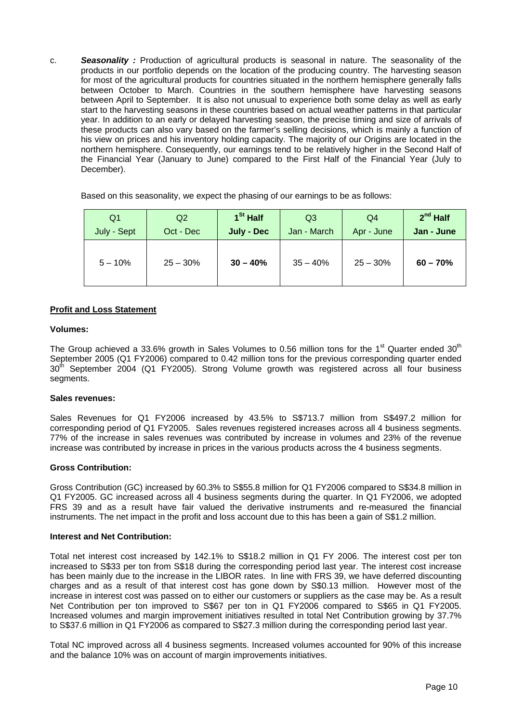c. *Seasonality :* Production of agricultural products is seasonal in nature. The seasonality of the products in our portfolio depends on the location of the producing country. The harvesting season for most of the agricultural products for countries situated in the northern hemisphere generally falls between October to March. Countries in the southern hemisphere have harvesting seasons between April to September. It is also not unusual to experience both some delay as well as early start to the harvesting seasons in these countries based on actual weather patterns in that particular year. In addition to an early or delayed harvesting season, the precise timing and size of arrivals of these products can also vary based on the farmer's selling decisions, which is mainly a function of his view on prices and his inventory holding capacity. The majority of our Origins are located in the northern hemisphere. Consequently, our earnings tend to be relatively higher in the Second Half of the Financial Year (January to June) compared to the First Half of the Financial Year (July to December).

Based on this seasonality, we expect the phasing of our earnings to be as follows:

| Q <sub>1</sub> | Q <sub>2</sub> | 1 <sup>St</sup> Half | Q <sub>3</sub> | Q4         | $2nd$ Half |  |
|----------------|----------------|----------------------|----------------|------------|------------|--|
| July - Sept    | Oct - Dec      | July - Dec           | Jan - March    | Apr - June | Jan - June |  |
| $5 - 10%$      | $25 - 30%$     | $30 - 40%$           | $35 - 40%$     | $25 - 30%$ | $60 - 70%$ |  |

#### **Profit and Loss Statement**

#### **Volumes:**

The Group achieved a 33.6% growth in Sales Volumes to 0.56 million tons for the 1<sup>st</sup> Quarter ended 30<sup>th</sup> September 2005 (Q1 FY2006) compared to 0.42 million tons for the previous corresponding quarter ended  $30<sup>th</sup>$  September 2004 (Q1 FY2005). Strong Volume growth was registered across all four business segments.

#### **Sales revenues:**

Sales Revenues for Q1 FY2006 increased by 43.5% to S\$713.7 million from S\$497.2 million for corresponding period of Q1 FY2005. Sales revenues registered increases across all 4 business segments. 77% of the increase in sales revenues was contributed by increase in volumes and 23% of the revenue increase was contributed by increase in prices in the various products across the 4 business segments.

### **Gross Contribution:**

Gross Contribution (GC) increased by 60.3% to S\$55.8 million for Q1 FY2006 compared to S\$34.8 million in Q1 FY2005. GC increased across all 4 business segments during the quarter. In Q1 FY2006, we adopted FRS 39 and as a result have fair valued the derivative instruments and re-measured the financial instruments. The net impact in the profit and loss account due to this has been a gain of S\$1.2 million.

#### **Interest and Net Contribution:**

Total net interest cost increased by 142.1% to S\$18.2 million in Q1 FY 2006. The interest cost per ton increased to S\$33 per ton from S\$18 during the corresponding period last year. The interest cost increase has been mainly due to the increase in the LIBOR rates. In line with FRS 39, we have deferred discounting charges and as a result of that interest cost has gone down by S\$0.13 million. However most of the increase in interest cost was passed on to either our customers or suppliers as the case may be. As a result Net Contribution per ton improved to S\$67 per ton in Q1 FY2006 compared to S\$65 in Q1 FY2005. Increased volumes and margin improvement initiatives resulted in total Net Contribution growing by 37.7% to S\$37.6 million in Q1 FY2006 as compared to S\$27.3 million during the corresponding period last year.

Total NC improved across all 4 business segments. Increased volumes accounted for 90% of this increase and the balance 10% was on account of margin improvements initiatives.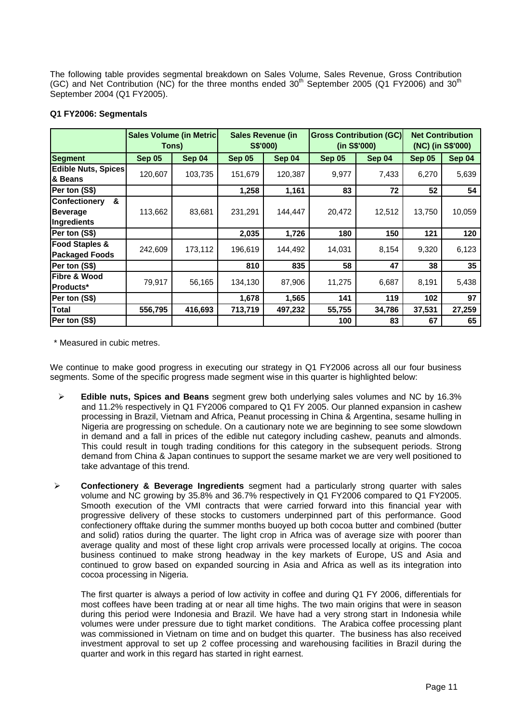The following table provides segmental breakdown on Sales Volume, Sales Revenue, Gross Contribution (GC) and Net Contribution (NC) for the three months ended  $30<sup>th</sup>$  September 2005 (Q1 FY2006) and  $30<sup>th</sup>$ September 2004 (Q1 FY2005).

#### **Q1 FY2006: Segmentals**

|                                                      | <b>Sales Volume (in Metric)</b><br>Tons) |         | <b>Sales Revenue (in</b><br>S\$'000) |         | <b>Gross Contribution (GC)</b><br>(in S\$'000) |        | <b>Net Contribution</b><br>(NC) (in S\$'000) |        |
|------------------------------------------------------|------------------------------------------|---------|--------------------------------------|---------|------------------------------------------------|--------|----------------------------------------------|--------|
| <b>Segment</b>                                       | Sep 05                                   | Sep 04  | Sep 05                               | Sep 04  | Sep 05                                         | Sep 04 | <b>Sep 05</b>                                | Sep 04 |
| <b>Edible Nuts, Spices</b><br>& Beans                | 120,607                                  | 103,735 | 151,679                              | 120,387 | 9,977                                          | 7,433  | 6,270                                        | 5,639  |
| Per ton (S\$)                                        |                                          |         | 1,258                                | 1,161   | 83                                             | 72     | 52                                           | 54     |
| &<br>Confectionery<br><b>Beverage</b><br>Ingredients | 113,662                                  | 83,681  | 231,291                              | 144,447 | 20,472                                         | 12,512 | 13,750                                       | 10,059 |
| Per ton (S\$)                                        |                                          |         | 2,035                                | 1,726   | 180                                            | 150    | 121                                          | 120    |
| <b>Food Staples &amp;</b><br><b>Packaged Foods</b>   | 242,609                                  | 173,112 | 196,619                              | 144,492 | 14,031                                         | 8,154  | 9,320                                        | 6,123  |
| Per ton (S\$)                                        |                                          |         | 810                                  | 835     | 58                                             | 47     | 38                                           | 35     |
| Fibre & Wood<br><b>Products*</b>                     | 79,917                                   | 56,165  | 134,130                              | 87,906  | 11,275                                         | 6,687  | 8,191                                        | 5,438  |
| Per ton (S\$)                                        |                                          |         | 1,678                                | 1,565   | 141                                            | 119    | 102                                          | 97     |
| <b>Total</b>                                         | 556,795                                  | 416,693 | 713,719                              | 497,232 | 55,755                                         | 34,786 | 37,531                                       | 27,259 |
| Per ton (S\$)                                        |                                          |         |                                      |         | 100                                            | 83     | 67                                           | 65     |

\* Measured in cubic metres.

We continue to make good progress in executing our strategy in Q1 FY2006 across all our four business segments. Some of the specific progress made segment wise in this quarter is highlighted below:

- ¾ **Edible nuts, Spices and Beans** segment grew both underlying sales volumes and NC by 16.3% and 11.2% respectively in Q1 FY2006 compared to Q1 FY 2005. Our planned expansion in cashew processing in Brazil, Vietnam and Africa, Peanut processing in China & Argentina, sesame hulling in Nigeria are progressing on schedule. On a cautionary note we are beginning to see some slowdown in demand and a fall in prices of the edible nut category including cashew, peanuts and almonds. This could result in tough trading conditions for this category in the subsequent periods. Strong demand from China & Japan continues to support the sesame market we are very well positioned to take advantage of this trend.
- ¾ **Confectionery & Beverage Ingredients** segment had a particularly strong quarter with sales volume and NC growing by 35.8% and 36.7% respectively in Q1 FY2006 compared to Q1 FY2005. Smooth execution of the VMI contracts that were carried forward into this financial year with progressive delivery of these stocks to customers underpinned part of this performance. Good confectionery offtake during the summer months buoyed up both cocoa butter and combined (butter and solid) ratios during the quarter. The light crop in Africa was of average size with poorer than average quality and most of these light crop arrivals were processed locally at origins. The cocoa business continued to make strong headway in the key markets of Europe, US and Asia and continued to grow based on expanded sourcing in Asia and Africa as well as its integration into cocoa processing in Nigeria.

The first quarter is always a period of low activity in coffee and during Q1 FY 2006, differentials for most coffees have been trading at or near all time highs. The two main origins that were in season during this period were Indonesia and Brazil. We have had a very strong start in Indonesia while volumes were under pressure due to tight market conditions. The Arabica coffee processing plant was commissioned in Vietnam on time and on budget this quarter. The business has also received investment approval to set up 2 coffee processing and warehousing facilities in Brazil during the quarter and work in this regard has started in right earnest.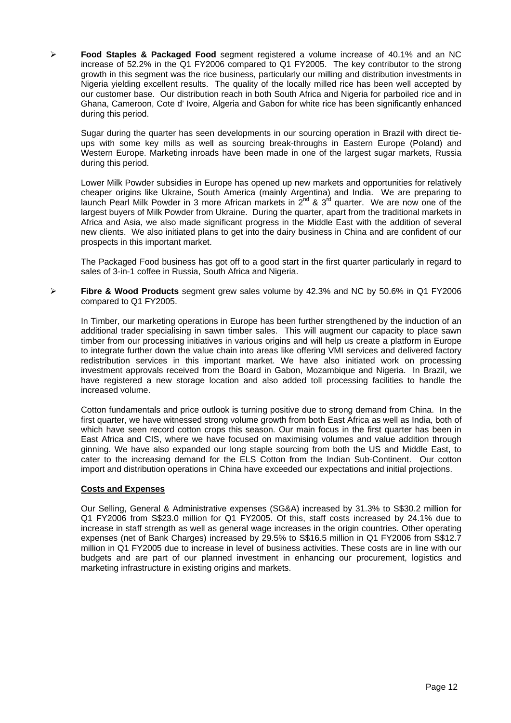¾ **Food Staples & Packaged Food** segment registered a volume increase of 40.1% and an NC increase of 52.2% in the Q1 FY2006 compared to Q1 FY2005. The key contributor to the strong growth in this segment was the rice business, particularly our milling and distribution investments in Nigeria yielding excellent results. The quality of the locally milled rice has been well accepted by our customer base. Our distribution reach in both South Africa and Nigeria for parboiled rice and in Ghana, Cameroon, Cote d' Ivoire, Algeria and Gabon for white rice has been significantly enhanced during this period.

Sugar during the quarter has seen developments in our sourcing operation in Brazil with direct tieups with some key mills as well as sourcing break-throughs in Eastern Europe (Poland) and Western Europe. Marketing inroads have been made in one of the largest sugar markets, Russia during this period.

Lower Milk Powder subsidies in Europe has opened up new markets and opportunities for relatively cheaper origins like Ukraine, South America (mainly Argentina) and India. We are preparing to launch Pearl Milk Powder in 3 more African markets in 2<sup>nd</sup> & 3<sup>rd</sup> quarter. We are now one of the largest buyers of Milk Powder from Ukraine. During the quarter, apart from the traditional markets in Africa and Asia, we also made significant progress in the Middle East with the addition of several new clients. We also initiated plans to get into the dairy business in China and are confident of our prospects in this important market.

The Packaged Food business has got off to a good start in the first quarter particularly in regard to sales of 3-in-1 coffee in Russia, South Africa and Nigeria.

¾ **Fibre & Wood Products** segment grew sales volume by 42.3% and NC by 50.6% in Q1 FY2006 compared to Q1 FY2005.

In Timber, our marketing operations in Europe has been further strengthened by the induction of an additional trader specialising in sawn timber sales. This will augment our capacity to place sawn timber from our processing initiatives in various origins and will help us create a platform in Europe to integrate further down the value chain into areas like offering VMI services and delivered factory redistribution services in this important market. We have also initiated work on processing investment approvals received from the Board in Gabon, Mozambique and Nigeria. In Brazil, we have registered a new storage location and also added toll processing facilities to handle the increased volume.

Cotton fundamentals and price outlook is turning positive due to strong demand from China. In the first quarter, we have witnessed strong volume growth from both East Africa as well as India, both of which have seen record cotton crops this season. Our main focus in the first quarter has been in East Africa and CIS, where we have focused on maximising volumes and value addition through ginning. We have also expanded our long staple sourcing from both the US and Middle East, to cater to the increasing demand for the ELS Cotton from the Indian Sub-Continent. Our cotton import and distribution operations in China have exceeded our expectations and initial projections.

### **Costs and Expenses**

Our Selling, General & Administrative expenses (SG&A) increased by 31.3% to S\$30.2 million for Q1 FY2006 from S\$23.0 million for Q1 FY2005. Of this, staff costs increased by 24.1% due to increase in staff strength as well as general wage increases in the origin countries. Other operating expenses (net of Bank Charges) increased by 29.5% to S\$16.5 million in Q1 FY2006 from S\$12.7 million in Q1 FY2005 due to increase in level of business activities. These costs are in line with our budgets and are part of our planned investment in enhancing our procurement, logistics and marketing infrastructure in existing origins and markets.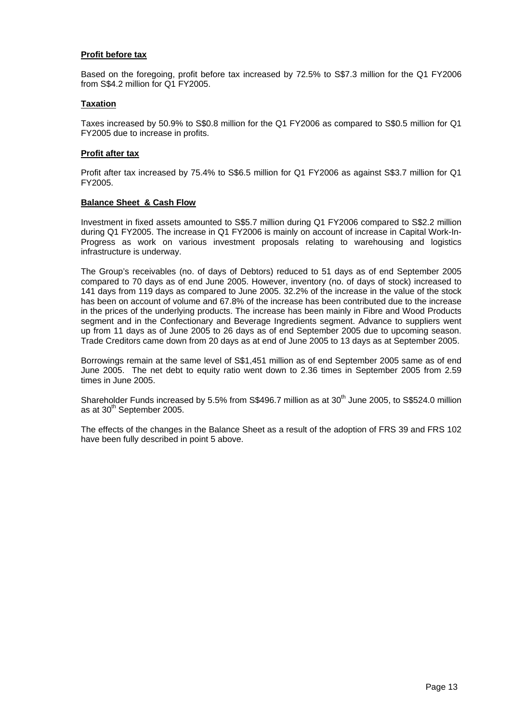#### **Profit before tax**

Based on the foregoing, profit before tax increased by 72.5% to S\$7.3 million for the Q1 FY2006 from S\$4.2 million for Q1 FY2005.

#### **Taxation**

Taxes increased by 50.9% to S\$0.8 million for the Q1 FY2006 as compared to S\$0.5 million for Q1 FY2005 due to increase in profits.

#### **Profit after tax**

Profit after tax increased by 75.4% to S\$6.5 million for Q1 FY2006 as against S\$3.7 million for Q1 FY2005.

#### **Balance Sheet & Cash Flow**

Investment in fixed assets amounted to S\$5.7 million during Q1 FY2006 compared to S\$2.2 million during Q1 FY2005. The increase in Q1 FY2006 is mainly on account of increase in Capital Work-In-Progress as work on various investment proposals relating to warehousing and logistics infrastructure is underway.

The Group's receivables (no. of days of Debtors) reduced to 51 days as of end September 2005 compared to 70 days as of end June 2005. However, inventory (no. of days of stock) increased to 141 days from 119 days as compared to June 2005. 32.2% of the increase in the value of the stock has been on account of volume and 67.8% of the increase has been contributed due to the increase in the prices of the underlying products. The increase has been mainly in Fibre and Wood Products segment and in the Confectionary and Beverage Ingredients segment. Advance to suppliers went up from 11 days as of June 2005 to 26 days as of end September 2005 due to upcoming season. Trade Creditors came down from 20 days as at end of June 2005 to 13 days as at September 2005.

Borrowings remain at the same level of S\$1,451 million as of end September 2005 same as of end June 2005. The net debt to equity ratio went down to 2.36 times in September 2005 from 2.59 times in June 2005.

Shareholder Funds increased by 5.5% from S\$496.7 million as at 30<sup>th</sup> June 2005, to S\$524.0 million as at 30<sup>th</sup> September 2005.

The effects of the changes in the Balance Sheet as a result of the adoption of FRS 39 and FRS 102 have been fully described in point 5 above.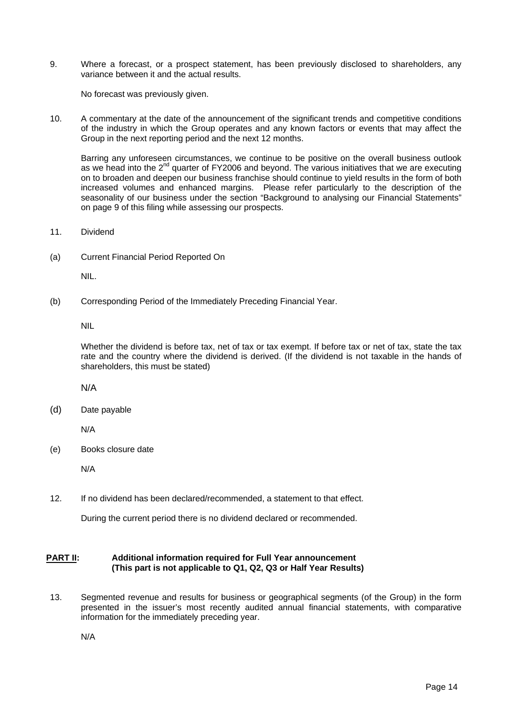9. Where a forecast, or a prospect statement, has been previously disclosed to shareholders, any variance between it and the actual results.

No forecast was previously given.

10. A commentary at the date of the announcement of the significant trends and competitive conditions of the industry in which the Group operates and any known factors or events that may affect the Group in the next reporting period and the next 12 months.

Barring any unforeseen circumstances, we continue to be positive on the overall business outlook as we head into the 2<sup>nd</sup> quarter of FY2006 and beyond. The various initiatives that we are executing on to broaden and deepen our business franchise should continue to yield results in the form of both increased volumes and enhanced margins. Please refer particularly to the description of the seasonality of our business under the section "Background to analysing our Financial Statements" on page 9 of this filing while assessing our prospects.

- 11. Dividend
- (a) Current Financial Period Reported On

NIL.

(b) Corresponding Period of the Immediately Preceding Financial Year.

NIL

Whether the dividend is before tax, net of tax or tax exempt. If before tax or net of tax, state the tax rate and the country where the dividend is derived. (If the dividend is not taxable in the hands of shareholders, this must be stated)

N/A

(d) Date payable

N/A

(e) Books closure date

N/A

12. If no dividend has been declared/recommended, a statement to that effect.

During the current period there is no dividend declared or recommended.

#### **PART II: Additional information required for Full Year announcement (This part is not applicable to Q1, Q2, Q3 or Half Year Results)**

13. Segmented revenue and results for business or geographical segments (of the Group) in the form presented in the issuer's most recently audited annual financial statements, with comparative information for the immediately preceding year.

N/A